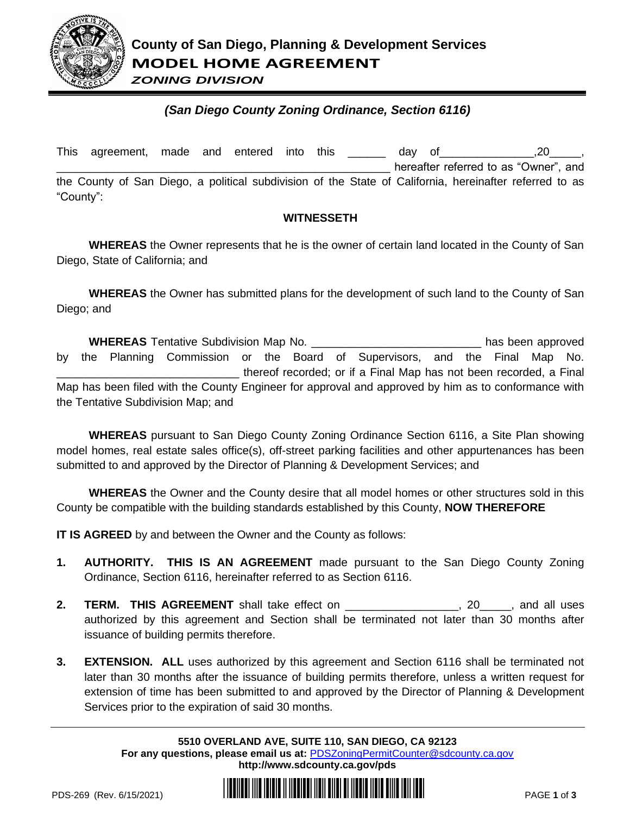

*ZONING DIVISION*

## *(San Diego County Zoning Ordinance, Section 6116)*

|           | This agreement, made and entered into this |  |  |  |  |  |  | dav of |  | $\sim$ .20                                                                                              |  |  |
|-----------|--------------------------------------------|--|--|--|--|--|--|--------|--|---------------------------------------------------------------------------------------------------------|--|--|
|           |                                            |  |  |  |  |  |  |        |  | hereafter referred to as "Owner", and                                                                   |  |  |
|           |                                            |  |  |  |  |  |  |        |  | the County of San Diego, a political subdivision of the State of California, hereinafter referred to as |  |  |
| "County": |                                            |  |  |  |  |  |  |        |  |                                                                                                         |  |  |

## **WITNESSETH**

**WHEREAS** the Owner represents that he is the owner of certain land located in the County of San Diego, State of California; and

**WHEREAS** the Owner has submitted plans for the development of such land to the County of San Diego; and

**WHEREAS** Tentative Subdivision Map No. \_\_\_\_\_\_\_\_\_\_\_\_\_\_\_\_\_\_\_\_\_\_\_\_\_\_\_ has been approved by the Planning Commission or the Board of Supervisors, and the Final Map No. \_\_\_\_\_\_\_\_\_\_\_\_\_\_\_\_\_\_\_\_\_\_\_\_\_\_\_\_\_ thereof recorded; or if a Final Map has not been recorded, a Final Map has been filed with the County Engineer for approval and approved by him as to conformance with the Tentative Subdivision Map; and

**WHEREAS** pursuant to San Diego County Zoning Ordinance Section 6116, a Site Plan showing model homes, real estate sales office(s), off-street parking facilities and other appurtenances has been submitted to and approved by the Director of Planning & Development Services; and

**WHEREAS** the Owner and the County desire that all model homes or other structures sold in this County be compatible with the building standards established by this County, **NOW THEREFORE**

**IT IS AGREED** by and between the Owner and the County as follows:

- **1. AUTHORITY. THIS IS AN AGREEMENT** made pursuant to the San Diego County Zoning Ordinance, Section 6116, hereinafter referred to as Section 6116.
- **2. TERM. THIS AGREEMENT** shall take effect on \_\_\_\_\_\_\_\_\_\_\_\_\_\_\_\_\_\_, 20\_\_\_\_\_, and all uses authorized by this agreement and Section shall be terminated not later than 30 months after issuance of building permits therefore.
- **3. EXTENSION. ALL** uses authorized by this agreement and Section 6116 shall be terminated not later than 30 months after the issuance of building permits therefore, unless a written request for extension of time has been submitted to and approved by the Director of Planning & Development Services prior to the expiration of said 30 months.

**5510 OVERLAND AVE, SUITE 110, SAN DIEGO, CA 92123 For any questions, please email us at:** [PDSZoningPermitCounter@sdcounty.ca.gov](mailto:PDSZoningPermitCounter@sdcounty.ca.gov) **<http://www.sdcounty.ca.gov/pds>**

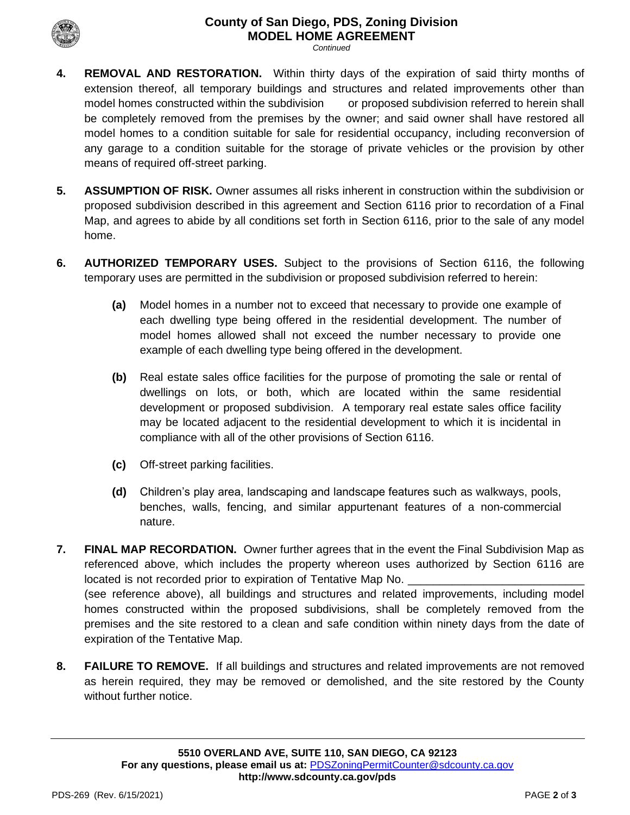## **County of San Diego, PDS, Zoning Division MODEL HOME AGREEMENT**

*Continued*

- **4. REMOVAL AND RESTORATION.** Within thirty days of the expiration of said thirty months of extension thereof, all temporary buildings and structures and related improvements other than model homes constructed within the subdivision or proposed subdivision referred to herein shall be completely removed from the premises by the owner; and said owner shall have restored all model homes to a condition suitable for sale for residential occupancy, including reconversion of any garage to a condition suitable for the storage of private vehicles or the provision by other means of required off-street parking.
- **5. ASSUMPTION OF RISK.** Owner assumes all risks inherent in construction within the subdivision or proposed subdivision described in this agreement and Section 6116 prior to recordation of a Final Map, and agrees to abide by all conditions set forth in Section 6116, prior to the sale of any model home.
- **6. AUTHORIZED TEMPORARY USES.** Subject to the provisions of Section 6116, the following temporary uses are permitted in the subdivision or proposed subdivision referred to herein:
	- **(a)** Model homes in a number not to exceed that necessary to provide one example of each dwelling type being offered in the residential development. The number of model homes allowed shall not exceed the number necessary to provide one example of each dwelling type being offered in the development.
	- **(b)** Real estate sales office facilities for the purpose of promoting the sale or rental of dwellings on lots, or both, which are located within the same residential development or proposed subdivision. A temporary real estate sales office facility may be located adjacent to the residential development to which it is incidental in compliance with all of the other provisions of Section 6116.
	- **(c)** Off-street parking facilities.
	- **(d)** Children's play area, landscaping and landscape features such as walkways, pools, benches, walls, fencing, and similar appurtenant features of a non-commercial nature.
- **7. FINAL MAP RECORDATION.** Owner further agrees that in the event the Final Subdivision Map as referenced above, which includes the property whereon uses authorized by Section 6116 are located is not recorded prior to expiration of Tentative Map No. (see reference above), all buildings and structures and related improvements, including model homes constructed within the proposed subdivisions, shall be completely removed from the premises and the site restored to a clean and safe condition within ninety days from the date of expiration of the Tentative Map.
- **8. FAILURE TO REMOVE.** If all buildings and structures and related improvements are not removed as herein required, they may be removed or demolished, and the site restored by the County without further notice.